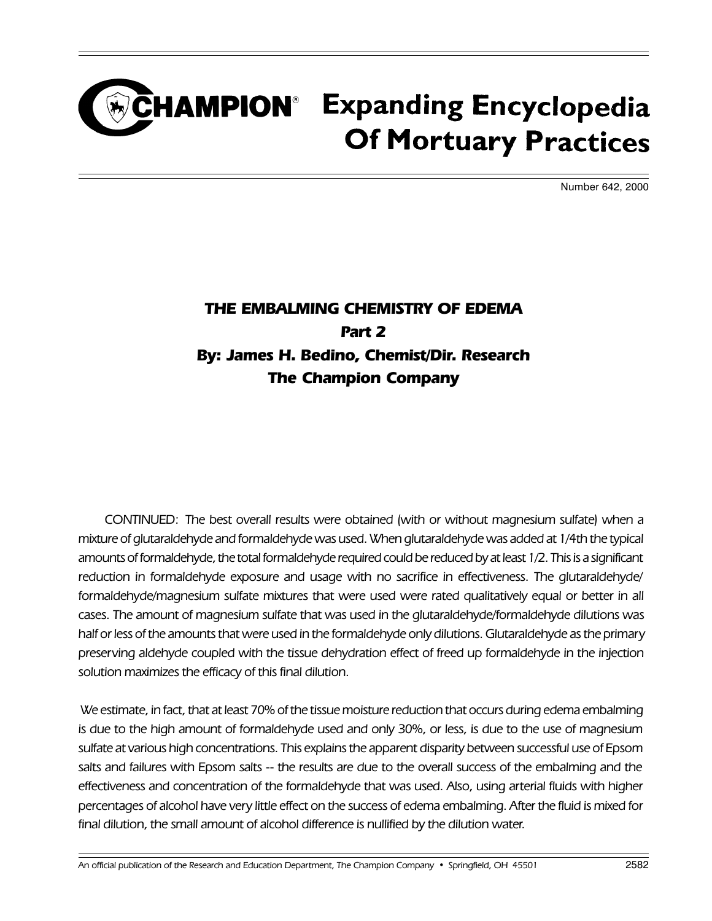## CHAMPION<sup>®</sup> Expanding Encyclopedia **Of Mortuary Practices**

Number 642, 2000

## THE EMBALMING CHEMISTRY OF EDEMA Part 2 By: James H. Bedino, Chemist/Dir. Research The Champion Company

CONTINUED: The best overall results were obtained (with or without magnesium sulfate) when a mixture of glutaraldehyde and formaldehyde was used. When glutaraldehyde was added at 1/4th the typical amounts of formaldehyde, the total formaldehyde required could be reduced by at least 1/2. This is a significant reduction in formaldehyde exposure and usage with no sacrifice in effectiveness. The glutaraldehyde/ formaldehyde/magnesium sulfate mixtures that were used were rated qualitatively equal or better in all cases. The amount of magnesium sulfate that was used in the glutaraldehyde/formaldehyde dilutions was half or less of the amounts that were used in the formaldehyde only dilutions. Glutaraldehyde as the primary preserving aldehyde coupled with the tissue dehydration effect of freed up formaldehyde in the injection solution maximizes the efficacy of this final dilution.

 We estimate, in fact, that at least 70% of the tissue moisture reduction that occurs during edema embalming is due to the high amount of formaldehyde used and only 30%, or less, is due to the use of magnesium sulfate at various high concentrations. This explains the apparent disparity between successful use of Epsom salts and failures with Epsom salts -- the results are due to the overall success of the embalming and the effectiveness and concentration of the formaldehyde that was used. Also, using arterial fluids with higher percentages of alcohol have very little effect on the success of edema embalming. After the fluid is mixed for final dilution, the small amount of alcohol difference is nullified by the dilution water.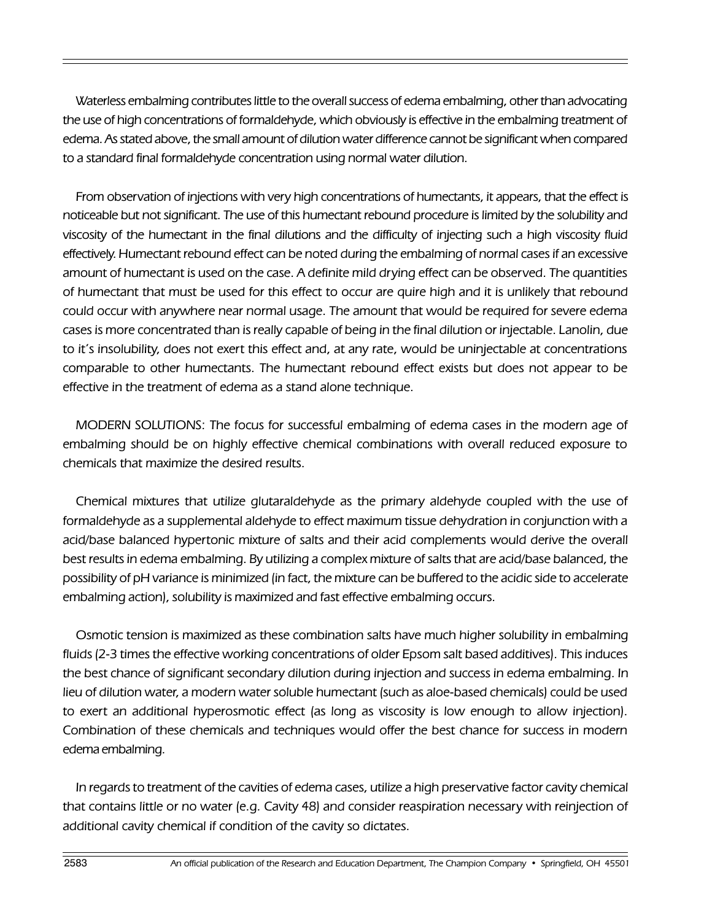Waterless embalming contributes little to the overall success of edema embalming, other than advocating the use of high concentrations of formaldehyde, which obviously is effective in the embalming treatment of edema. As stated above, the small amount of dilution water difference cannot be significant when compared to a standard final formaldehyde concentration using normal water dilution.

From observation of injections with very high concentrations of humectants, it appears, that the effect is noticeable but not significant. The use of this humectant rebound procedure is limited by the solubility and viscosity of the humectant in the final dilutions and the difficulty of injecting such a high viscosity fluid effectively. Humectant rebound effect can be noted during the embalming of normal cases if an excessive amount of humectant is used on the case. A definite mild drying effect can be observed. The quantities of humectant that must be used for this effect to occur are quire high and it is unlikely that rebound could occur with anywhere near normal usage. The amount that would be required for severe edema cases is more concentrated than is really capable of being in the final dilution or injectable. Lanolin, due to it's insolubility, does not exert this effect and, at any rate, would be uninjectable at concentrations comparable to other humectants. The humectant rebound effect exists but does not appear to be effective in the treatment of edema as a stand alone technique.

MODERN SOLUTIONS: The focus for successful embalming of edema cases in the modern age of embalming should be on highly effective chemical combinations with overall reduced exposure to chemicals that maximize the desired results.

Chemical mixtures that utilize glutaraldehyde as the primary aldehyde coupled with the use of formaldehyde as a supplemental aldehyde to effect maximum tissue dehydration in conjunction with a acid/base balanced hypertonic mixture of salts and their acid complements would derive the overall best results in edema embalming. By utilizing a complex mixture of salts that are acid/base balanced, the possibility of pH variance is minimized (in fact, the mixture can be buffered to the acidic side to accelerate embalming action), solubility is maximized and fast effective embalming occurs.

Osmotic tension is maximized as these combination salts have much higher solubility in embalming fluids (2-3 times the effective working concentrations of older Epsom salt based additives). This induces the best chance of significant secondary dilution during injection and success in edema embalming. In lieu of dilution water, a modern water soluble humectant (such as aloe-based chemicals) could be used to exert an additional hyperosmotic effect (as long as viscosity is low enough to allow injection). Combination of these chemicals and techniques would offer the best chance for success in modern edema embalming.

In regards to treatment of the cavities of edema cases, utilize a high preservative factor cavity chemical that contains little or no water (e.g. Cavity 48) and consider reaspiration necessary with reinjection of additional cavity chemical if condition of the cavity so dictates.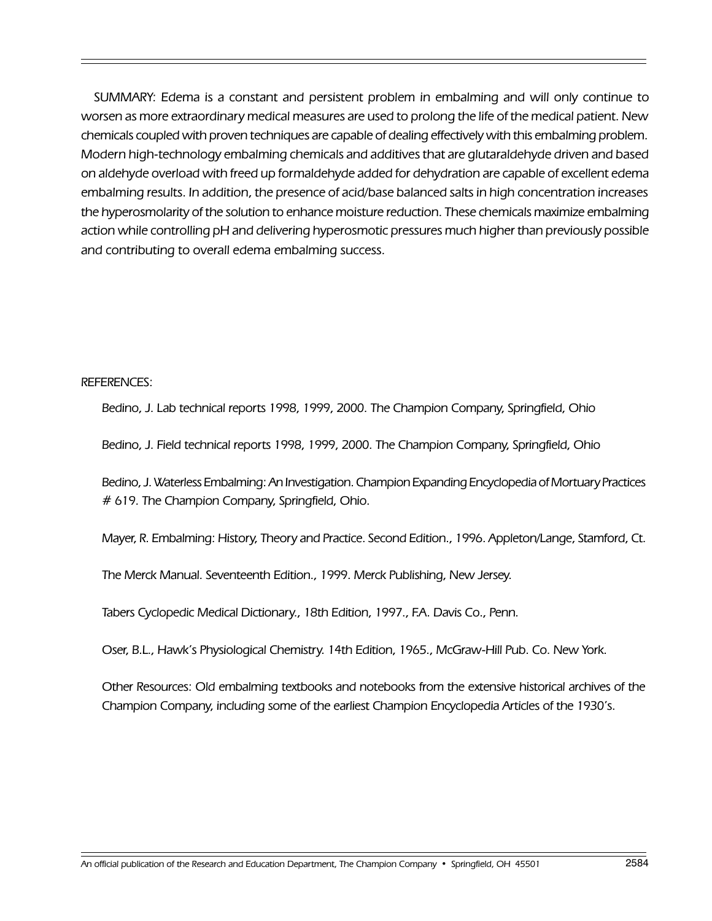SUMMARY: Edema is a constant and persistent problem in embalming and will only continue to worsen as more extraordinary medical measures are used to prolong the life of the medical patient. New chemicals coupled with proven techniques are capable of dealing effectively with this embalming problem. Modern high-technology embalming chemicals and additives that are glutaraldehyde driven and based on aldehyde overload with freed up formaldehyde added for dehydration are capable of excellent edema embalming results. In addition, the presence of acid/base balanced salts in high concentration increases the hyperosmolarity of the solution to enhance moisture reduction. These chemicals maximize embalming action while controlling pH and delivering hyperosmotic pressures much higher than previously possible and contributing to overall edema embalming success.

REFERENCES:

Bedino, J. Lab technical reports 1998, 1999, 2000. The Champion Company, Springfield, Ohio

Bedino, J. Field technical reports 1998, 1999, 2000. The Champion Company, Springfield, Ohio

Bedino, J. Waterless Embalming: An Investigation. Champion Expanding Encyclopedia of Mortuary Practices # 619. The Champion Company, Springfield, Ohio.

Mayer, R. Embalming: History, Theory and Practice. Second Edition., 1996. Appleton/Lange, Stamford, Ct.

The Merck Manual. Seventeenth Edition., 1999. Merck Publishing, New Jersey.

Tabers Cyclopedic Medical Dictionary., 18th Edition, 1997., F.A. Davis Co., Penn.

Oser, B.L., Hawk's Physiological Chemistry. 14th Edition, 1965., McGraw-Hill Pub. Co. New York.

Other Resources: Old embalming textbooks and notebooks from the extensive historical archives of the Champion Company, including some of the earliest Champion Encyclopedia Articles of the 1930's.